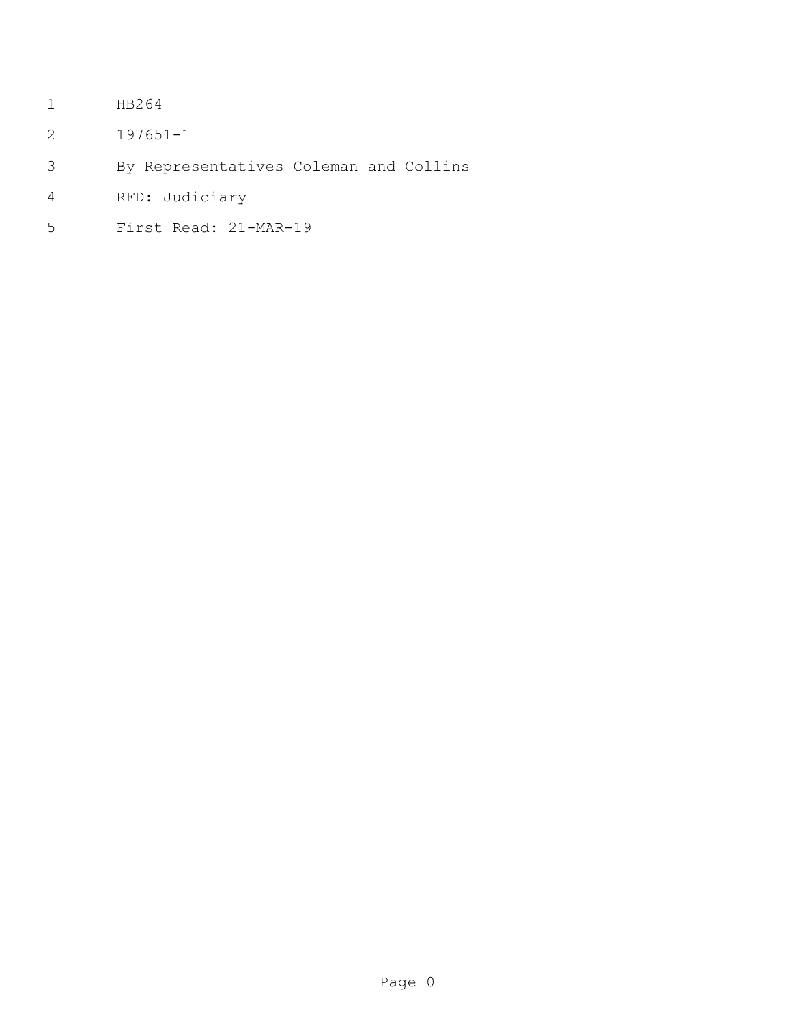- HB264
- 197651-1
- By Representatives Coleman and Collins
- RFD: Judiciary
- First Read: 21-MAR-19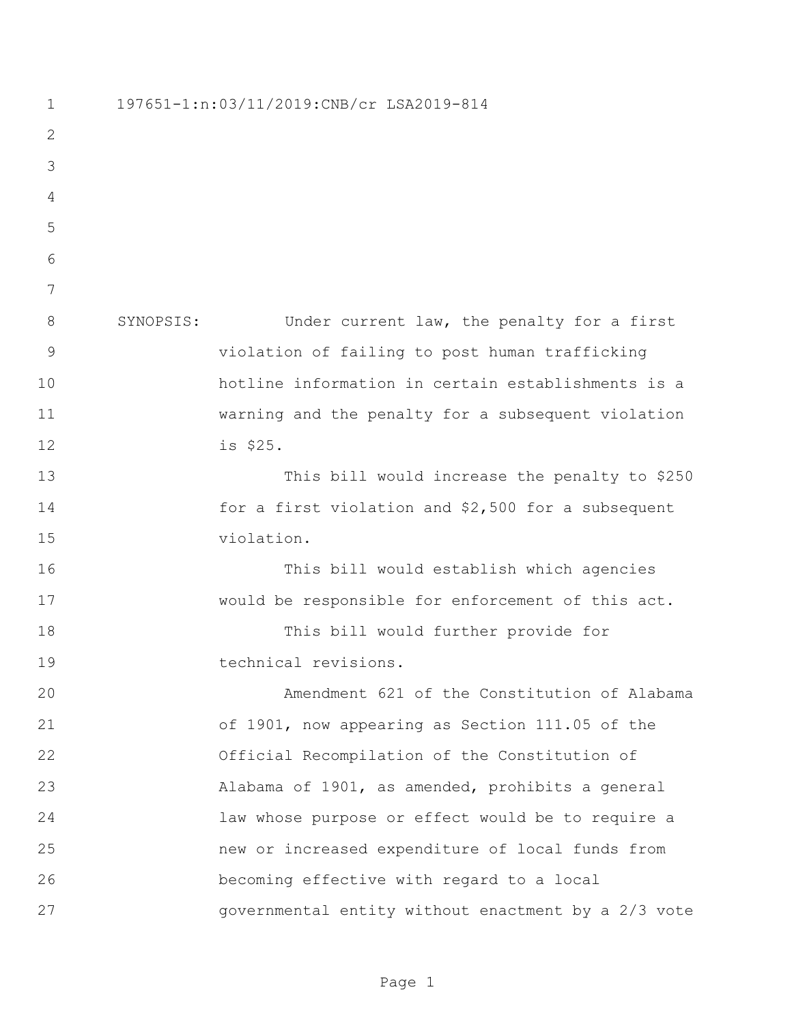197651-1:n:03/11/2019:CNB/cr LSA2019-814 SYNOPSIS: Under current law, the penalty for a first violation of failing to post human trafficking hotline information in certain establishments is a warning and the penalty for a subsequent violation is \$25. This bill would increase the penalty to \$250 for a first violation and \$2,500 for a subsequent violation. This bill would establish which agencies would be responsible for enforcement of this act. This bill would further provide for technical revisions. Amendment 621 of the Constitution of Alabama of 1901, now appearing as Section 111.05 of the Official Recompilation of the Constitution of Alabama of 1901, as amended, prohibits a general law whose purpose or effect would be to require a new or increased expenditure of local funds from becoming effective with regard to a local governmental entity without enactment by a 2/3 vote

Page 1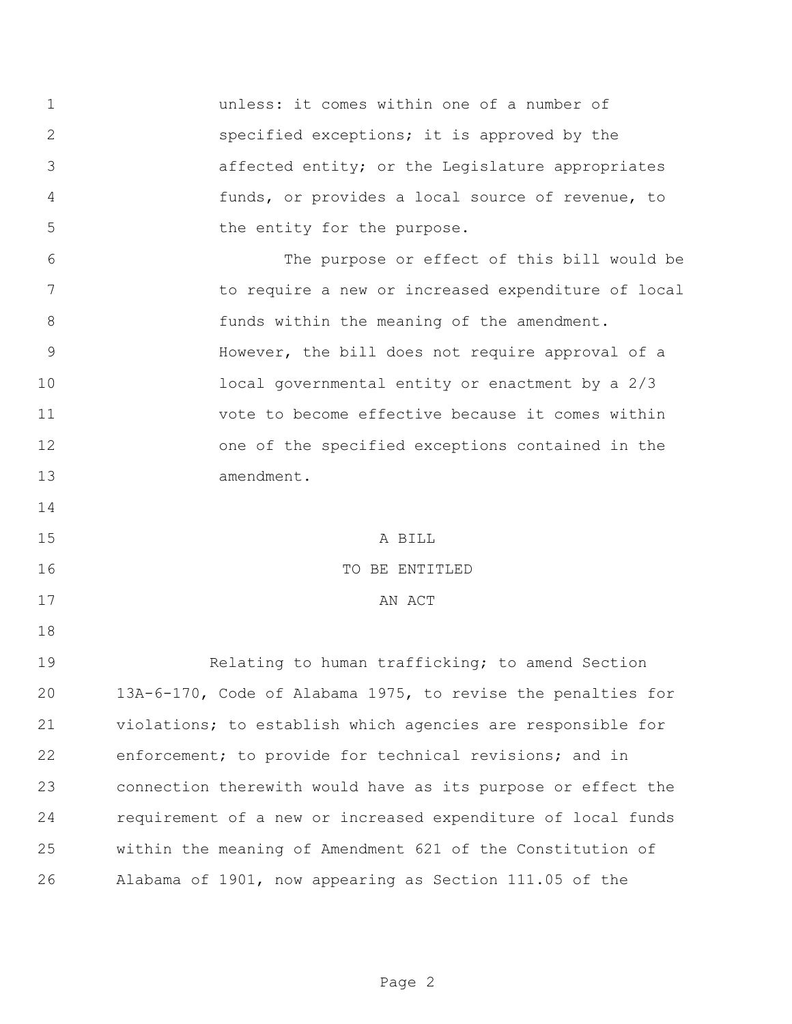unless: it comes within one of a number of specified exceptions; it is approved by the affected entity; or the Legislature appropriates funds, or provides a local source of revenue, to 5 the entity for the purpose. The purpose or effect of this bill would be to require a new or increased expenditure of local 8 funds within the meaning of the amendment. However, the bill does not require approval of a local governmental entity or enactment by a 2/3 vote to become effective because it comes within one of the specified exceptions contained in the 13 amendment. A BILL 16 TO BE ENTITLED 17 AN ACT Relating to human trafficking; to amend Section 13A-6-170, Code of Alabama 1975, to revise the penalties for violations; to establish which agencies are responsible for enforcement; to provide for technical revisions; and in connection therewith would have as its purpose or effect the requirement of a new or increased expenditure of local funds within the meaning of Amendment 621 of the Constitution of Alabama of 1901, now appearing as Section 111.05 of the

Page 2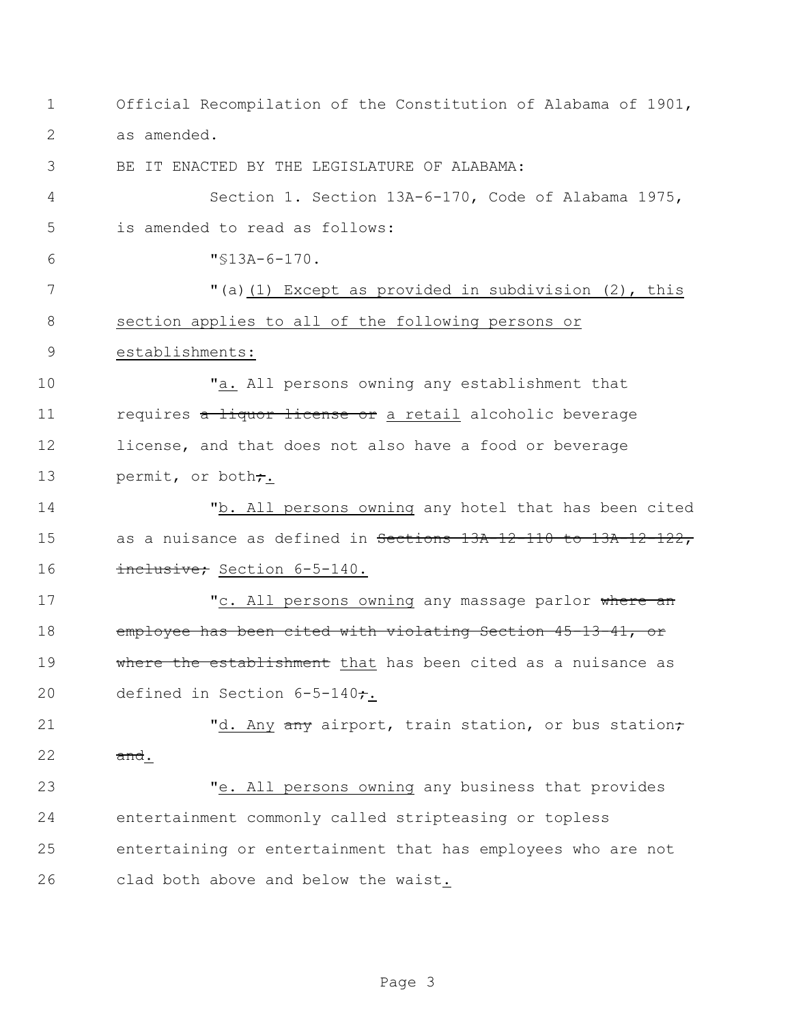1 Official Recompilation of the Constitution of Alabama of 1901, 2 as amended.

3 BE IT ENACTED BY THE LEGISLATURE OF ALABAMA:

4 Section 1. Section 13A-6-170, Code of Alabama 1975, 5 is amended to read as follows:

6 "§13A-6-170.

7 "(a)(1) Except as provided in subdivision (2), this 8 section applies to all of the following persons or 9 establishments:

10 "a. All persons owning any establishment that 11 requires a liquor license or a retail alcoholic beverage 12 license, and that does not also have a food or beverage 13 permit, or both;

14 "b. All persons owning any hotel that has been cited 15 as a nuisance as defined in Sections 13A-12-110 to 13A-12-122, 16 inclusive; Section 6-5-140.

17 The Music Multimers of the resons owning any massage parlor where an 18 employee has been cited with violating Section 45-13-41, or 19 where the establishment that has been cited as a nuisance as 20 defined in Section  $6-5-140$ ;

21 The Many any airport, train station, or bus station; 22 and.

 "e. All persons owning any business that provides entertainment commonly called stripteasing or topless entertaining or entertainment that has employees who are not clad both above and below the waist.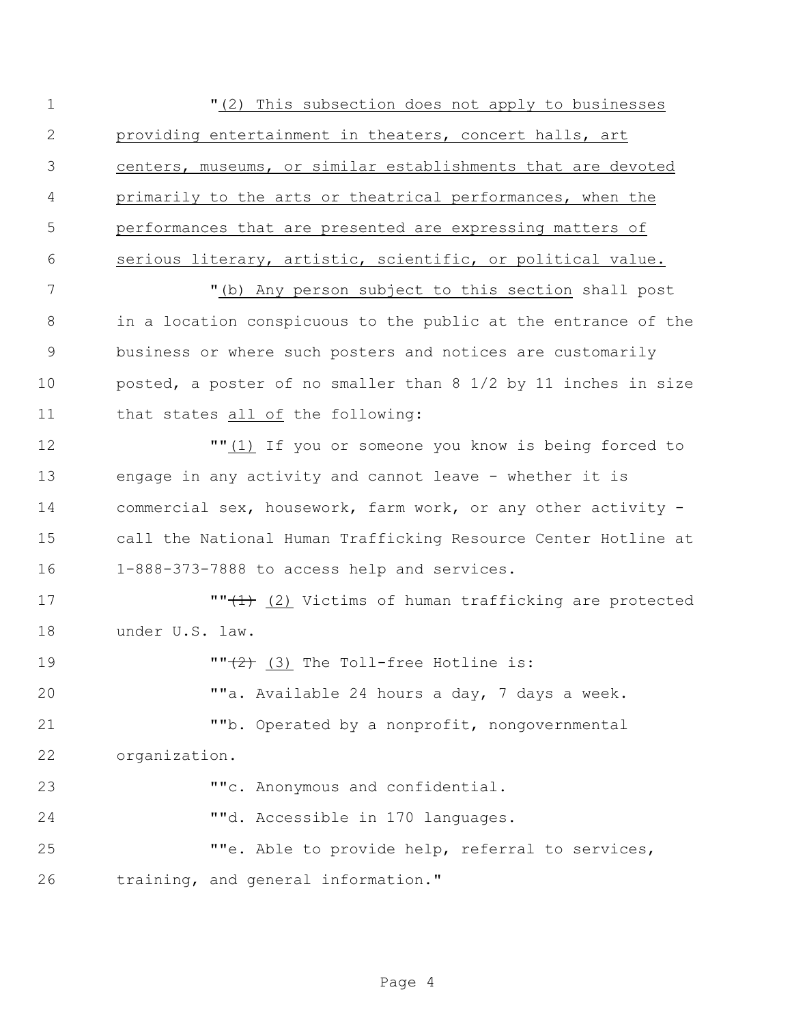1 This subsection does not apply to businesses providing entertainment in theaters, concert halls, art centers, museums, or similar establishments that are devoted primarily to the arts or theatrical performances, when the performances that are presented are expressing matters of serious literary, artistic, scientific, or political value. "(b) Any person subject to this section shall post in a location conspicuous to the public at the entrance of the business or where such posters and notices are customarily posted, a poster of no smaller than 8 1/2 by 11 inches in size that states all of the following: ""(1) If you or someone you know is being forced to engage in any activity and cannot leave - whether it is commercial sex, housework, farm work, or any other activity - call the National Human Trafficking Resource Center Hotline at 1-888-373-7888 to access help and services. **""**(1) (2) Victims of human trafficking are protected under U.S. law.  $\cdots$   $\cdots$   $\cdots$   $\cdots$   $\cdots$   $\cdots$   $\cdots$   $\cdots$   $\cdots$   $\cdots$   $\cdots$   $\cdots$   $\cdots$   $\cdots$   $\cdots$   $\cdots$   $\cdots$   $\cdots$   $\cdots$   $\cdots$   $\cdots$   $\cdots$   $\cdots$   $\cdots$   $\cdots$   $\cdots$   $\cdots$   $\cdots$   $\cdots$   $\cdots$   $\cdots$   $\cdots$   $\cdots$   $\cdots$   $\cdots$   $\cdots$   $\$  ""a. Available 24 hours a day, 7 days a week. ""b. Operated by a nonprofit, nongovernmental organization. ""c. Anonymous and confidential. ""d. Accessible in 170 languages. ""e. Able to provide help, referral to services, training, and general information."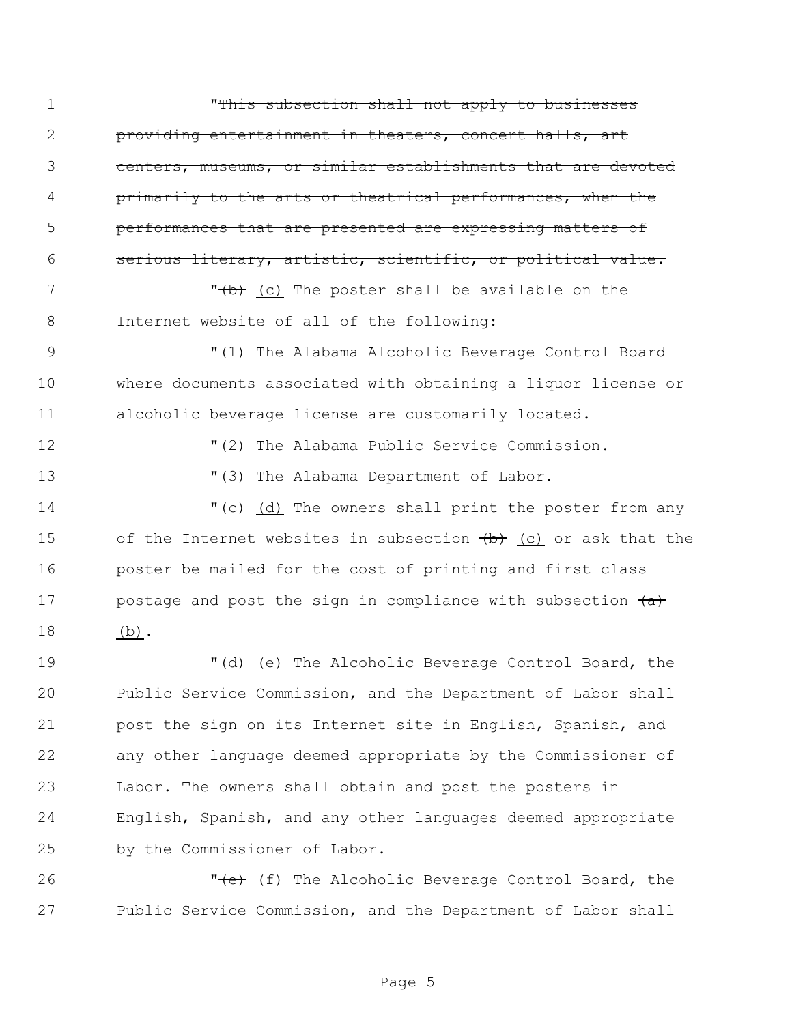"This subsection shall not apply to businesses providing entertainment in theaters, concert halls, art centers, museums, or similar establishments that are devoted primarily to the arts or theatrical performances, when the performances that are presented are expressing matters of serious literary, artistic, scientific, or political value. 7 The Mode of the poster shall be available on the 10 Internet website of all of the following: "(1) The Alabama Alcoholic Beverage Control Board where documents associated with obtaining a liquor license or alcoholic beverage license are customarily located. "(2) The Alabama Public Service Commission.  $(3)$  The Alabama Department of Labor. **14** The owners shall print the poster from any 15 of the Internet websites in subsection (b) (c) or ask that the poster be mailed for the cost of printing and first class 17 bostage and post the sign in compliance with subsection  $(a)$  (b). 19 The Alcoholic Beverage Control Board, the Public Service Commission, and the Department of Labor shall post the sign on its Internet site in English, Spanish, and any other language deemed appropriate by the Commissioner of Labor. The owners shall obtain and post the posters in English, Spanish, and any other languages deemed appropriate by the Commissioner of Labor. **"<del>(e)</del>** (f) The Alcoholic Beverage Control Board, the

Public Service Commission, and the Department of Labor shall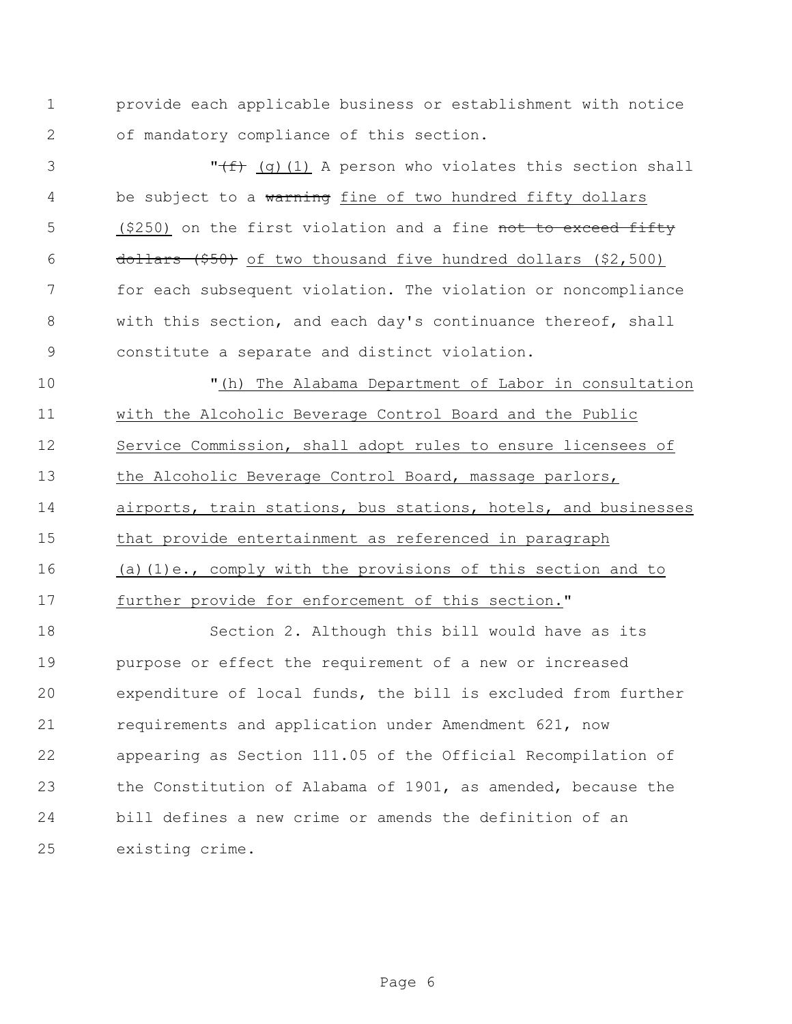provide each applicable business or establishment with notice of mandatory compliance of this section.

3  $\sqrt{f}$  (q)(1) A person who violates this section shall 4 be subject to a warning fine of two hundred fifty dollars 5 (\$250) on the first violation and a fine not to exceed fifty 6 dollars  $(550)$  of two thousand five hundred dollars  $(52,500)$  for each subsequent violation. The violation or noncompliance with this section, and each day's continuance thereof, shall constitute a separate and distinct violation.

 "(h) The Alabama Department of Labor in consultation with the Alcoholic Beverage Control Board and the Public Service Commission, shall adopt rules to ensure licensees of 13 the Alcoholic Beverage Control Board, massage parlors, airports, train stations, bus stations, hotels, and businesses that provide entertainment as referenced in paragraph (a)(1)e., comply with the provisions of this section and to further provide for enforcement of this section."

 Section 2. Although this bill would have as its purpose or effect the requirement of a new or increased expenditure of local funds, the bill is excluded from further requirements and application under Amendment 621, now appearing as Section 111.05 of the Official Recompilation of the Constitution of Alabama of 1901, as amended, because the bill defines a new crime or amends the definition of an existing crime.